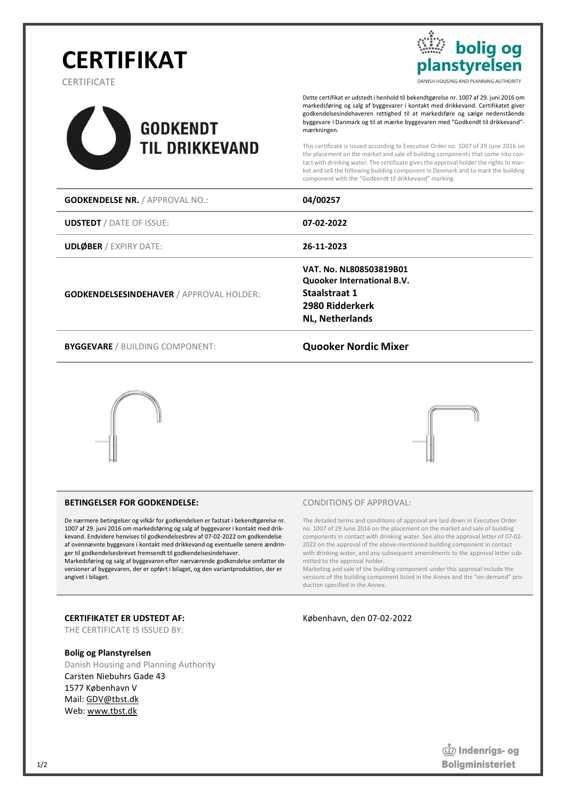# **CERTIFIKAT**

**CERTIFICATE** 

f



Dette certifikat er udstedt i henhold til bekendtgørelse nr. 1007 af 29. juni 2016 om markedsføring og salg af byggevarer i kontakt med drikkevand. Certifikatet giver godkendelsesindehaveren rettighed til at markedsføre og sælge nedenstående byggevare i Danmark og til at mærke byggevaren med "Godkendt til drikkevand" mærkningen.

**bolig og** 

nstyrelsen

DANISH HOUSING AND PLANNING AUTHORITY

This certificate is issued according to Executive Order no. 1007 of 29 June 2016 on the placement on the market and sale of building components that come into contact with drinking water. The certificate gives the approval holder the rights to market and sell the following building component in Denmark and to mark the building component with the "Godkendt til drikkevand" marking.

| <b>GODKENDELSE NR. / APPROVAL NO.:</b>          | 04/00257                                                                                                            |  |
|-------------------------------------------------|---------------------------------------------------------------------------------------------------------------------|--|
| <b>UDSTEDT</b> / DATE OF ISSUE:                 | 07-02-2022                                                                                                          |  |
| <b>UDLØBER / EXPIRY DATE:</b>                   | 26-11-2023                                                                                                          |  |
| <b>GODKENDELSESINDEHAVER / APPROVAL HOLDER:</b> | VAT. No. NL808503819B01<br>Quooker International B.V.<br>Staalstraat 1<br>2980 Ridderkerk<br><b>NL, Netherlands</b> |  |
| <b>BYGGEVARE</b> / BUILDING COMPONENT:          | <b>Quooker Nordic Mixer</b>                                                                                         |  |





#### BETINGELSER FOR GODKENDELSE:

De nærmere betingelser og vilkår for godkendelsen er fastsat i bekendtgørelse nr. 1007 af 29. juni 2016 om markedsføring og salg af byggevarer i kontakt med drikkevand. Endvidere henvises til godkendelsesbrev af 07-02-2022 om godkendelse af ovennævnte byggevare i kontakt med drikkevand og eventuelle senere ændringer til godkendelsesbrevet fremsendt til godkendelsesindehaver.

Markedsføring og salg af byggevaren efter nærværende godkendelse omfatter de versioner af byggevaren, der er opført i bilaget, og den variantproduktion, der er angivet i bilaget.

#### CERTIFIKATET ER UDSTEDT AF:

THE CERTIFICATE IS ISSUED BY:

#### Bolig og Planstyrelsen

Danish Housing and Planning Authority Carsten Niebuhrs Gade 43 1577 København V Mail: GDV@tbst.dk Web: www.tbst.dk

#### CONDITIONS OF APPROVAL:

The detailed terms and conditions of approval are laid down in Executive Order no. 1007 of 29 June 2016 on the placement on the market and sale of building components in contact with drinking water. See also the approval letter of 07-02- 2022 on the approval of the above-mentioned building component in contact with drinking water, and any subsequent amendments to the approval letter submitted to the approval holder.

Marketing and sale of the building component under this approval include the versions of the building component listed in the Annex and the "on-demand" production specified in the Annex.

København, den 07-02-2022

**Ondenrigs- og Boliaministeriet**